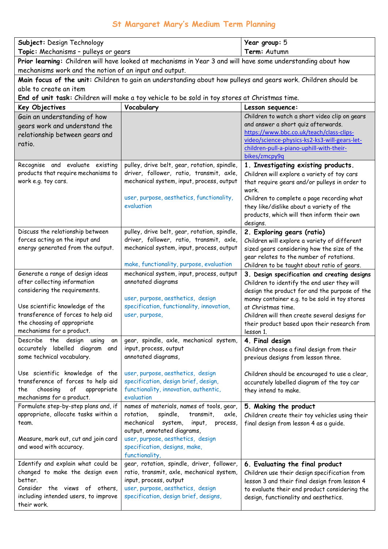## **St Margaret Mary's Medium Term Planning**

| Subject: Design Technology<br>Topic: Mechanisms - pulleys or gears                                                       |                                                                                            | Year group: 5<br>Term: Autumn                                                                 |  |
|--------------------------------------------------------------------------------------------------------------------------|--------------------------------------------------------------------------------------------|-----------------------------------------------------------------------------------------------|--|
| Prior learning: Children will have looked at mechanisms in Year 3 and will have some understanding about how             |                                                                                            |                                                                                               |  |
| mechanisms work and the notion of an input and output.                                                                   |                                                                                            |                                                                                               |  |
| Main focus of the unit: Children to gain an understanding about how pulleys and gears work. Children should be           |                                                                                            |                                                                                               |  |
| able to create an item<br>End of unit task: Children will make a toy vehicle to be sold in toy stores at Christmas time. |                                                                                            |                                                                                               |  |
| Key Objectives                                                                                                           | Vocabulary                                                                                 | Lesson sequence:                                                                              |  |
| Gain an understanding of how                                                                                             |                                                                                            | Children to watch a short video clip on gears                                                 |  |
| gears work and understand the                                                                                            |                                                                                            | and answer a short quiz afterwards.                                                           |  |
| relationship between gears and                                                                                           |                                                                                            | https://www.bbc.co.uk/teach/class-clips-                                                      |  |
| ratio.                                                                                                                   |                                                                                            | video/science-physics-ks2-ks3-will-gears-let-                                                 |  |
|                                                                                                                          |                                                                                            | children-pull-a-piano-uphill-with-their-<br>bikes/zmcpy9q                                     |  |
| Recognise and evaluate existing                                                                                          | pulley, drive belt, gear, rotation, spindle,                                               | 1. Investigating existing products.                                                           |  |
| products that require mechanisms to                                                                                      | driver, follower, ratio, transmit, axle,                                                   | Children will explore a variety of toy cars                                                   |  |
| work e.g. toy cars.                                                                                                      | mechanical system, input, process, output                                                  | that require gears and/or pulleys in order to                                                 |  |
|                                                                                                                          |                                                                                            | work.                                                                                         |  |
|                                                                                                                          | user, purpose, aesthetics, functionality,<br>evaluation                                    | Children to complete a page recording what<br>they like/dislike about a variety of the        |  |
|                                                                                                                          |                                                                                            | products, which will then inform their own                                                    |  |
|                                                                                                                          |                                                                                            | designs.                                                                                      |  |
| Discuss the relationship between                                                                                         | pulley, drive belt, gear, rotation, spindle,                                               | 2. Exploring gears (ratio)                                                                    |  |
| forces acting on the input and                                                                                           | driver, follower, ratio, transmit, axle,                                                   | Children will explore a variety of different                                                  |  |
| energy generated from the output.                                                                                        | mechanical system, input, process, output                                                  | sized gears considering how the size of the                                                   |  |
|                                                                                                                          | make, functionality, purpose, evaluation                                                   | gear relates to the number of rotations.                                                      |  |
| Generate a range of design ideas                                                                                         | mechanical system, input, process, output                                                  | Children to be taught about ratio of gears.<br>3. Design specification and creating designs   |  |
| after collecting information                                                                                             | annotated diagrams                                                                         | Children to identify the end user they will                                                   |  |
| considering the requirements.                                                                                            |                                                                                            | design the product for and the purpose of the                                                 |  |
|                                                                                                                          | user, purpose, aesthetics, design                                                          | money container e.g. to be sold in toy stores                                                 |  |
| Use scientific knowledge of the                                                                                          | specification, functionality, innovation,                                                  | at Christmas time.                                                                            |  |
| transference of forces to help aid<br>the choosing of appropriate                                                        | user, purpose,                                                                             | Children will then create several designs for                                                 |  |
| mechanisms for a product.                                                                                                |                                                                                            | their product based upon their research from<br>lesson 1.                                     |  |
| Describe<br>the design using<br>an                                                                                       | gear, spindle, axle, mechanical system,                                                    | 4. Final design                                                                               |  |
| accurately labelled diagram<br>and                                                                                       | input, process, output                                                                     | Children choose a final design from their                                                     |  |
| some technical vocabulary.                                                                                               | annotated diagrams,                                                                        | previous designs from lesson three.                                                           |  |
| Use scientific knowledge of the                                                                                          | user, purpose, aesthetics, design                                                          | Children should be encouraged to use a clear,                                                 |  |
| transference of forces to help aid                                                                                       | specification, design brief, design,                                                       | accurately labelled diagram of the toy car                                                    |  |
| of<br>appropriate<br>choosing<br>the                                                                                     | functionality, innovation, authentic,                                                      | they intend to make.                                                                          |  |
| mechanisms for a product.                                                                                                | evaluation                                                                                 |                                                                                               |  |
| Formulate step-by-step plans and, if                                                                                     | names of materials, names of tools, gear,                                                  | 5. Making the product                                                                         |  |
| appropriate, allocate tasks within a<br>team.                                                                            | rotation,<br>spindle,<br>transmit,<br>axle,<br>mechanical<br>system,<br>input,<br>process, | Children create their toy vehicles using their<br>final design from lesson 4 as a guide.      |  |
|                                                                                                                          | output, annotated diagrams,                                                                |                                                                                               |  |
| Measure, mark out, cut and join card                                                                                     | user, purpose, aesthetics, design                                                          |                                                                                               |  |
| and wood with accuracy.                                                                                                  | specification, designs, make,                                                              |                                                                                               |  |
|                                                                                                                          | functionality,                                                                             |                                                                                               |  |
| Identify and explain what could be<br>changed to make the design even                                                    | gear, rotation, spindle, driver, follower,<br>ratio, transmit, axle, mechanical system,    | 6. Evaluating the final product                                                               |  |
| better.                                                                                                                  | input, process, output                                                                     | Children use their design specification from<br>lesson 3 and their final design from lesson 4 |  |
| Consider the views of others,                                                                                            | user, purpose, aesthetics, design                                                          | to evaluate their end product considering the                                                 |  |
| including intended users, to improve                                                                                     | specification, design brief, designs,                                                      | design, functionality and aesthetics.                                                         |  |
| their work.                                                                                                              |                                                                                            |                                                                                               |  |